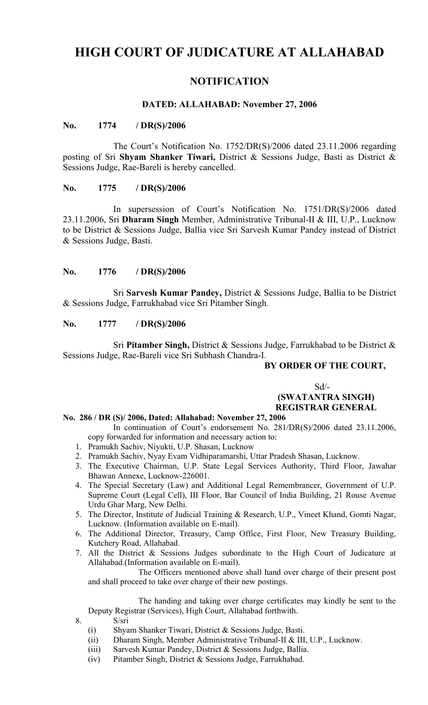# **HIGH COURT OF JUDICATURE AT ALLAHABAD**

# **NOTIFICATION**

#### **DATED: ALLAHABAD: November 27, 2006**

#### **No. 1774 / DR(S)/2006**

The Court's Notification No. 1752/DR(S)/2006 dated 23.11.2006 regarding posting of Sri **Shyam Shanker Tiwari,** District & Sessions Judge, Basti as District & Sessions Judge, Rae-Bareli is hereby cancelled.

#### **No. 1775 / DR(S)/2006**

In supersession of Court's Notification No. 1751/DR(S)/2006 dated 23.11.2006, Sri **Dharam Singh** Member, Administrative Tribunal-II & III, U.P., Lucknow to be District & Sessions Judge, Ballia vice Sri Sarvesh Kumar Pandey instead of District & Sessions Judge, Basti.

### **No. 1776 / DR(S)/2006**

Sri **Sarvesh Kumar Pandey,** District & Sessions Judge, Ballia to be District & Sessions Judge, Farrukhabad vice Sri Pitamber Singh.

#### **No. 1777 / DR(S)/2006**

Sri **Pitamber Singh,** District & Sessions Judge, Farrukhabad to be District & Sessions Judge, Rae-Bareli vice Sri Subhash Chandra-I.

## **BY ORDER OF THE COURT,**

 $Sd$ <sup>-</sup>  **(SWATANTRA SINGH) REGISTRAR GENERAL**

#### **No. 286 / DR (S)/ 2006, Dated: Allahabad: November 27, 2006**

In continuation of Court's endorsement No. 281/DR(S)/2006 dated 23.11.2006, copy forwarded for information and necessary action to:

- 1. Pramukh Sachiv, Niyukti, U.P. Shasan, Lucknow
- 2. Pramukh Sachiv, Nyay Evam Vidhiparamarshi, Uttar Pradesh Shasan, Lucknow.
- 3. The Executive Chairman, U.P. State Legal Services Authority, Third Floor, Jawahar Bhawan Annexe, Lucknow-226001.
- 4. The Special Secretary (Law) and Additional Legal Remembrancer, Government of U.P. Supreme Court (Legal Cell), III Floor, Bar Council of India Building, 21 Rouse Avenue Urdu Ghar Marg, New Delhi.
- 5. The Director, Institute of Judicial Training & Research, U.P., Vineet Khand, Gomti Nagar, Lucknow. (Information available on E-mail).
- 6. The Additional Director, Treasury, Camp Office, First Floor, New Treasury Building, Kutchery Road, Allahabad.
- 7. All the District & Sessions Judges subordinate to the High Court of Judicature at Allahabad.(Information available on E-mail).

The Officers mentioned above shall hand over charge of their present post and shall proceed to take over charge of their new postings.

The handing and taking over charge certificates may kindly be sent to the Deputy Registrar (Services), High Court, Allahabad forthwith.

- 8. S/sri
	- (i) Shyam Shanker Tiwari, District & Sessions Judge, Basti.
	- (ii) Dharam Singh, Member Administrative Tribunal-II & III, U.P., Lucknow.
	- (iii) Sarvesh Kumar Pandey, District & Sessions Judge, Ballia.
	- (iv) Pitamber Singh, District & Sessions Judge, Farrukhabad.